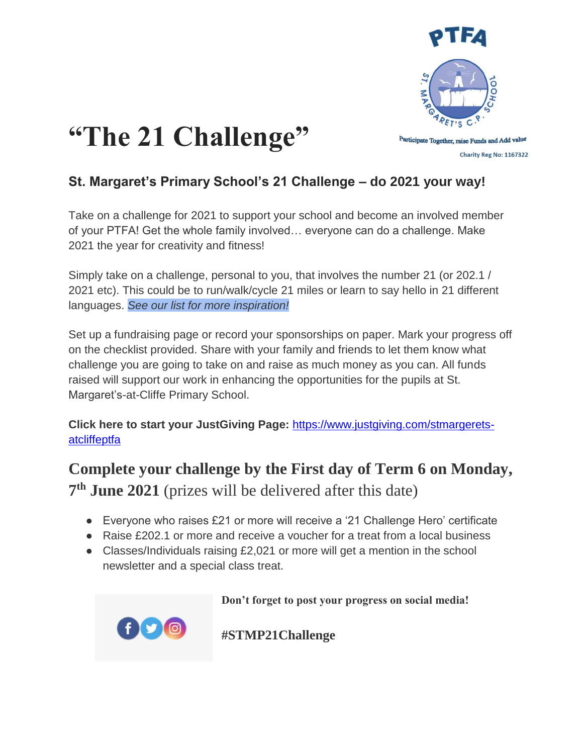



## **St. Margaret's Primary School's 21 Challenge – do 2021 your way!**

Take on a challenge for 2021 to support your school and become an involved member of your PTFA! Get the whole family involved… everyone can do a challenge. Make 2021 the year for creativity and fitness!

Simply take on a challenge, personal to you, that involves the number 21 (or 202.1 / 2021 etc). This could be to run/walk/cycle 21 miles or learn to say hello in 21 different languages. *See our list for more inspiration!*

Set up a fundraising page or record your sponsorships on paper. Mark your progress off on the checklist provided. Share with your family and friends to let them know what challenge you are going to take on and raise as much money as you can. All funds raised will support our work in enhancing the opportunities for the pupils at St. Margaret's-at-Cliffe Primary School.

**Click here to start your JustGiving Page:** [https://www.justgiving.com/stmargerets](https://www.justgiving.com/stmargerets-atcliffeptfa)[atcliffeptfa](https://www.justgiving.com/stmargerets-atcliffeptfa)

**Complete your challenge by the First day of Term 6 on Monday, 7 th June 2021** (prizes will be delivered after this date)

- Everyone who raises £21 or more will receive a '21 Challenge Hero' certificate
- Raise £202.1 or more and receive a voucher for a treat from a local business
- Classes/Individuals raising £2,021 or more will get a mention in the school newsletter and a special class treat.



 **Don't forget to post your progress on social media!** 

**#STMP21Challenge**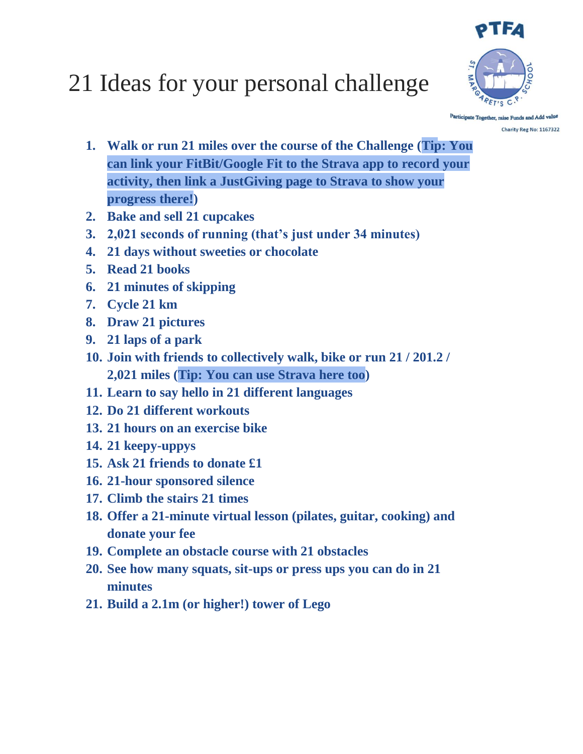

## 21 Ideas for your personal challenge

Participate Together, raise Funds and Add value Charity Reg No: 1167322

- **1. Walk or run 21 miles over the course of the Challenge (Tip: You can link your FitBit/Google Fit to the Strava app to record your activity, then link a JustGiving page to Strava to show your progress there!)**
- **2. Bake and sell 21 cupcakes**
- **3. 2,021 seconds of running (that's just under 34 minutes)**
- **4. 21 days without sweeties or chocolate**
- **5. Read 21 books**
- **6. 21 minutes of skipping**
- **7. Cycle 21 km**
- **8. Draw 21 pictures**
- **9. 21 laps of a park**
- **10. Join with friends to collectively walk, bike or run 21 / 201.2 / 2,021 miles (Tip: You can use Strava here too)**
- **11. Learn to say hello in 21 different languages**
- **12. Do 21 different workouts**
- **13. 21 hours on an exercise bike**
- **14. 21 keepy-uppys**
- **15. Ask 21 friends to donate £1**
- **16. 21-hour sponsored silence**
- **17. Climb the stairs 21 times**
- **18. Offer a 21-minute virtual lesson (pilates, guitar, cooking) and donate your fee**
- **19. Complete an obstacle course with 21 obstacles**
- **20. See how many squats, sit-ups or press ups you can do in 21 minutes**
- **21. Build a 2.1m (or higher!) tower of Lego**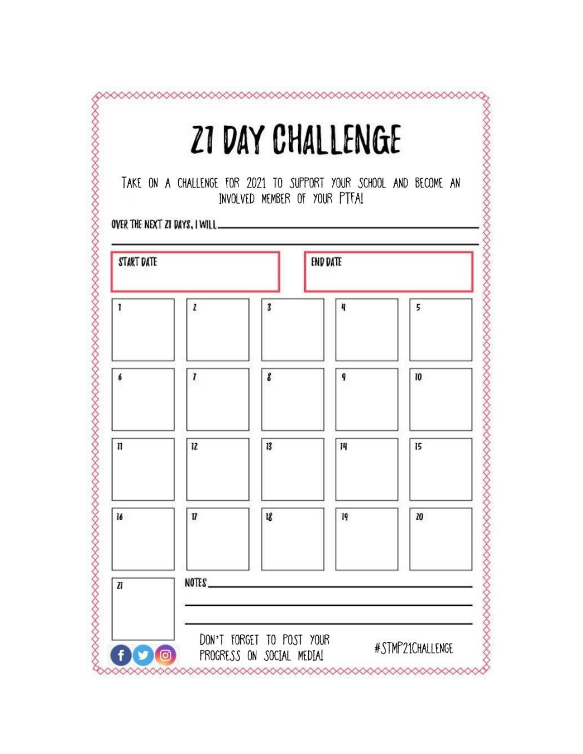